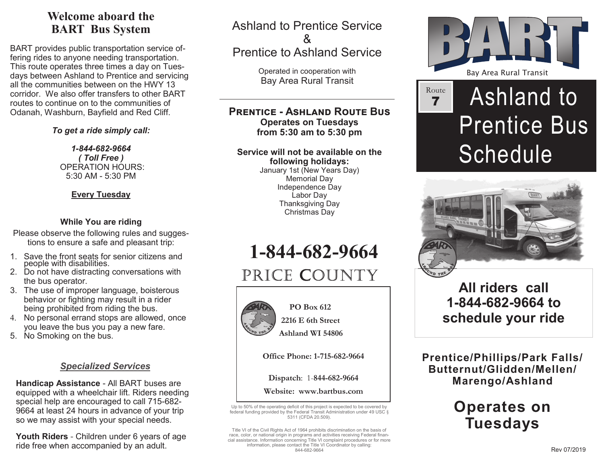## **Welcome aboard theBART Bus System**

BART provides public transportation service offering rides to anyone needing transportation. This route operates three times a day on Tuesdays between Ashland to Prentice and servicing all the communities between on the HWY 13 corridor. We also offer transfers to other BART routes to continue on to the communities of Odanah, Washburn, Bayfield and Red Cliff.

*To get a ride simply call:*

*1-844-682-9664( Toll Free )* OPERATION HOURS:5:30 AM - 5:30 PM

#### **Every Tuesday**

#### **While You are riding**

- Please observe the following rules and suggestions to ensure a safe and pleasant trip:
- 1. Save the front seats for senior citizens and people with disabilities.
- 2. Do not have distracting conversations with the bus operator.
- 3. The use of improper language, boisterous behavior or fighting may result in a rider being prohibited from riding the bus.
- 4. No personal errand stops are allowed, once you leave the bus you pay a new fare.
- 5. No Smoking on the bus.

### *Specialized Services*

**Handicap Assistance** - All BART buses are equipped with a wheelchair lift. Riders needing special help are encouraged to call 715-682- 9664 at least 24 hours in advance of your trip so we may assist with your special needs.

**Youth Riders** - Children under 6 years of age ride free when accompanied by an adult.

Ashland to Prentice Service&Prentice to Ashland Service

> Operated in cooperation withBay Area Rural Transit

#### **PRENTICE - ASHI AND ROUTE BUS Operates on Tuesdaysfrom 5:30 am to 5:30 pm**

#### **Service will not be available on thefollowing holidays:**

 January 1st (New Years Day)Memorial Day Independence DayLabor Day Thanksgiving DayChristmas Day

**1-844-682-9664**

# PRICE COUNTY



#### **PO Box 612 2216 E 6th Street**

 **Ashland WI 54806** 

**Office Phone: 1-715-682-9664**

**Dispatch**: 1-**844-682-9664** 

**Website: www.bartbus.com**

Up to 50% of the operating deficit of this project is expected to be covered by federal funding provided by the Federal Transit Administration under 49 USC §5311 (CFDA 20.509).

Title VI of the Civil Rights Act of 1964 prohibits discrimination on the basis of race, color, or national origin in programs and activities receiving Federal financial assistance. Information concerning Title VI complaint procedures or for more information, please contact the Title VI Coordinator by calling: 844-682-9664



# Ashland to Prentice Bus **Schedule** Route 7



## **All riders call 1-844-682-9664 to schedule your ride**

**Prentice/Phillips/Park Falls/Butternut/Glidden/Mellen/Marengo/Ashland**

# **Operates on Tuesdays**